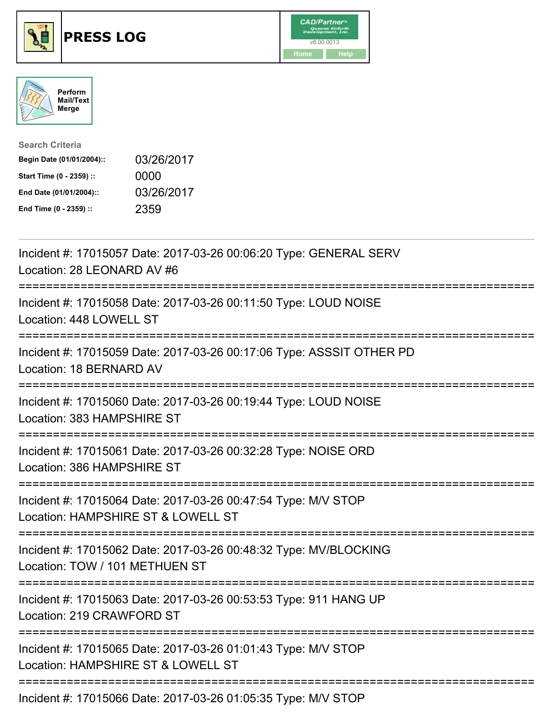





| <b>Search Criteria</b>    |            |
|---------------------------|------------|
| Begin Date (01/01/2004):: | 03/26/2017 |
| Start Time (0 - 2359) ::  | 0000       |
| End Date (01/01/2004)::   | 03/26/2017 |
| End Time (0 - 2359) ::    | 2359       |

| Incident #: 17015057 Date: 2017-03-26 00:06:20 Type: GENERAL SERV<br>Location: 28 LEONARD AV #6                                       |
|---------------------------------------------------------------------------------------------------------------------------------------|
| Incident #: 17015058 Date: 2017-03-26 00:11:50 Type: LOUD NOISE<br>Location: 448 LOWELL ST                                            |
| Incident #: 17015059 Date: 2017-03-26 00:17:06 Type: ASSSIT OTHER PD<br>Location: 18 BERNARD AV                                       |
| Incident #: 17015060 Date: 2017-03-26 00:19:44 Type: LOUD NOISE<br>Location: 383 HAMPSHIRE ST<br>------------------<br>-------------- |
| Incident #: 17015061 Date: 2017-03-26 00:32:28 Type: NOISE ORD<br>Location: 386 HAMPSHIRE ST<br>------------------------------------- |
| Incident #: 17015064 Date: 2017-03-26 00:47:54 Type: M/V STOP<br>Location: HAMPSHIRE ST & LOWELL ST<br>:=========================     |
| Incident #: 17015062 Date: 2017-03-26 00:48:32 Type: MV/BLOCKING<br>Location: TOW / 101 METHUEN ST                                    |
| Incident #: 17015063 Date: 2017-03-26 00:53:53 Type: 911 HANG UP<br>Location: 219 CRAWFORD ST                                         |
| Incident #: 17015065 Date: 2017-03-26 01:01:43 Type: M/V STOP<br>Location: HAMPSHIRE ST & LOWELL ST                                   |
| -----------------------------<br>Incident #: 17015066 Date: 2017-03-26 01:05:35 Type: M/V STOP                                        |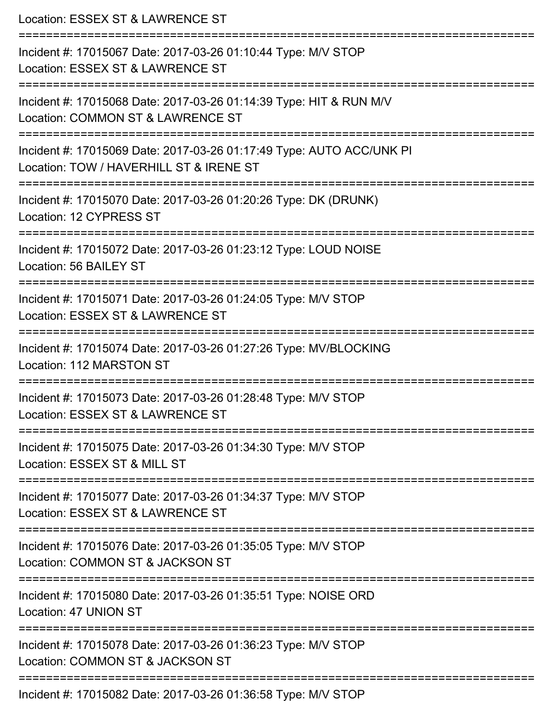| Location: ESSEX ST & LAWRENCE ST                                                                                                                                                    |
|-------------------------------------------------------------------------------------------------------------------------------------------------------------------------------------|
| Incident #: 17015067 Date: 2017-03-26 01:10:44 Type: M/V STOP<br>Location: ESSEX ST & LAWRENCE ST                                                                                   |
| Incident #: 17015068 Date: 2017-03-26 01:14:39 Type: HIT & RUN M/V<br>Location: COMMON ST & LAWRENCE ST                                                                             |
| Incident #: 17015069 Date: 2017-03-26 01:17:49 Type: AUTO ACC/UNK PI<br>Location: TOW / HAVERHILL ST & IRENE ST<br>.------------------------------<br>----------------------------- |
| Incident #: 17015070 Date: 2017-03-26 01:20:26 Type: DK (DRUNK)<br>Location: 12 CYPRESS ST                                                                                          |
| Incident #: 17015072 Date: 2017-03-26 01:23:12 Type: LOUD NOISE<br>Location: 56 BAILEY ST                                                                                           |
| Incident #: 17015071 Date: 2017-03-26 01:24:05 Type: M/V STOP<br>Location: ESSEX ST & LAWRENCE ST                                                                                   |
| Incident #: 17015074 Date: 2017-03-26 01:27:26 Type: MV/BLOCKING<br>Location: 112 MARSTON ST                                                                                        |
| Incident #: 17015073 Date: 2017-03-26 01:28:48 Type: M/V STOP<br>Location: ESSEX ST & LAWRENCE ST                                                                                   |
| Incident #: 17015075 Date: 2017-03-26 01:34:30 Type: M/V STOP<br>Location: ESSEX ST & MILL ST                                                                                       |
| Incident #: 17015077 Date: 2017-03-26 01:34:37 Type: M/V STOP<br>Location: ESSEX ST & LAWRENCE ST                                                                                   |
| Incident #: 17015076 Date: 2017-03-26 01:35:05 Type: M/V STOP<br>Location: COMMON ST & JACKSON ST                                                                                   |
| Incident #: 17015080 Date: 2017-03-26 01:35:51 Type: NOISE ORD<br>Location: 47 UNION ST                                                                                             |
| Incident #: 17015078 Date: 2017-03-26 01:36:23 Type: M/V STOP<br>Location: COMMON ST & JACKSON ST                                                                                   |
| Incident #: 17015082 Date: 2017-03-26 01:36:58 Type: M/V STOP                                                                                                                       |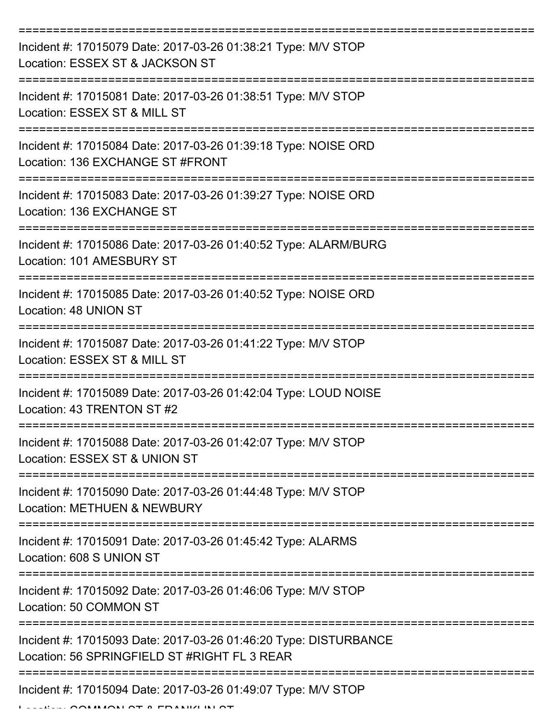| Incident #: 17015079 Date: 2017-03-26 01:38:21 Type: M/V STOP<br>Location: ESSEX ST & JACKSON ST                 |
|------------------------------------------------------------------------------------------------------------------|
| Incident #: 17015081 Date: 2017-03-26 01:38:51 Type: M/V STOP<br>Location: ESSEX ST & MILL ST                    |
| Incident #: 17015084 Date: 2017-03-26 01:39:18 Type: NOISE ORD<br>Location: 136 EXCHANGE ST #FRONT               |
| Incident #: 17015083 Date: 2017-03-26 01:39:27 Type: NOISE ORD<br>Location: 136 EXCHANGE ST                      |
| Incident #: 17015086 Date: 2017-03-26 01:40:52 Type: ALARM/BURG<br>Location: 101 AMESBURY ST                     |
| Incident #: 17015085 Date: 2017-03-26 01:40:52 Type: NOISE ORD<br>Location: 48 UNION ST                          |
| Incident #: 17015087 Date: 2017-03-26 01:41:22 Type: M/V STOP<br>Location: ESSEX ST & MILL ST                    |
| Incident #: 17015089 Date: 2017-03-26 01:42:04 Type: LOUD NOISE<br>Location: 43 TRENTON ST #2                    |
| Incident #: 17015088 Date: 2017-03-26 01:42:07 Type: M/V STOP<br>Location: ESSEX ST & UNION ST                   |
| Incident #: 17015090 Date: 2017-03-26 01:44:48 Type: M/V STOP<br><b>Location: METHUEN &amp; NEWBURY</b>          |
| Incident #: 17015091 Date: 2017-03-26 01:45:42 Type: ALARMS<br>Location: 608 S UNION ST                          |
| Incident #: 17015092 Date: 2017-03-26 01:46:06 Type: M/V STOP<br>Location: 50 COMMON ST                          |
| Incident #: 17015093 Date: 2017-03-26 01:46:20 Type: DISTURBANCE<br>Location: 56 SPRINGFIELD ST #RIGHT FL 3 REAR |
| Incident #: 17015094 Date: 2017-03-26 01:49:07 Type: M/V STOP                                                    |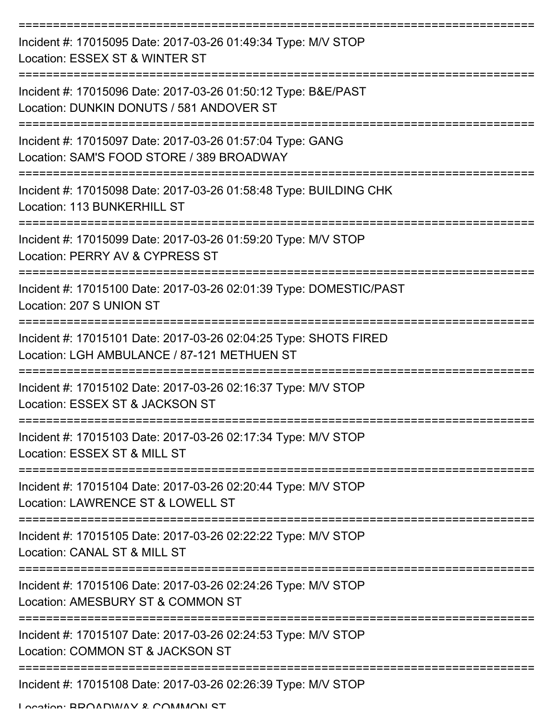| Incident #: 17015095 Date: 2017-03-26 01:49:34 Type: M/V STOP<br>Location: ESSEX ST & WINTER ST                 |
|-----------------------------------------------------------------------------------------------------------------|
| Incident #: 17015096 Date: 2017-03-26 01:50:12 Type: B&E/PAST<br>Location: DUNKIN DONUTS / 581 ANDOVER ST       |
| Incident #: 17015097 Date: 2017-03-26 01:57:04 Type: GANG<br>Location: SAM'S FOOD STORE / 389 BROADWAY          |
| Incident #: 17015098 Date: 2017-03-26 01:58:48 Type: BUILDING CHK<br>Location: 113 BUNKERHILL ST                |
| Incident #: 17015099 Date: 2017-03-26 01:59:20 Type: M/V STOP<br>Location: PERRY AV & CYPRESS ST                |
| Incident #: 17015100 Date: 2017-03-26 02:01:39 Type: DOMESTIC/PAST<br>Location: 207 S UNION ST                  |
| Incident #: 17015101 Date: 2017-03-26 02:04:25 Type: SHOTS FIRED<br>Location: LGH AMBULANCE / 87-121 METHUEN ST |
| Incident #: 17015102 Date: 2017-03-26 02:16:37 Type: M/V STOP<br>Location: ESSEX ST & JACKSON ST                |
| Incident #: 17015103 Date: 2017-03-26 02:17:34 Type: M/V STOP<br>Location: ESSEX ST & MILL ST                   |
| Incident #: 17015104 Date: 2017-03-26 02:20:44 Type: M/V STOP<br>Location: LAWRENCE ST & LOWELL ST              |
| Incident #: 17015105 Date: 2017-03-26 02:22:22 Type: M/V STOP<br>Location: CANAL ST & MILL ST                   |
| Incident #: 17015106 Date: 2017-03-26 02:24:26 Type: M/V STOP<br>Location: AMESBURY ST & COMMON ST              |
| Incident #: 17015107 Date: 2017-03-26 02:24:53 Type: M/V STOP<br>Location: COMMON ST & JACKSON ST               |
| Incident #: 17015108 Date: 2017-03-26 02:26:39 Type: M/V STOP                                                   |

Location: BDOADWAV & COMMADNI CT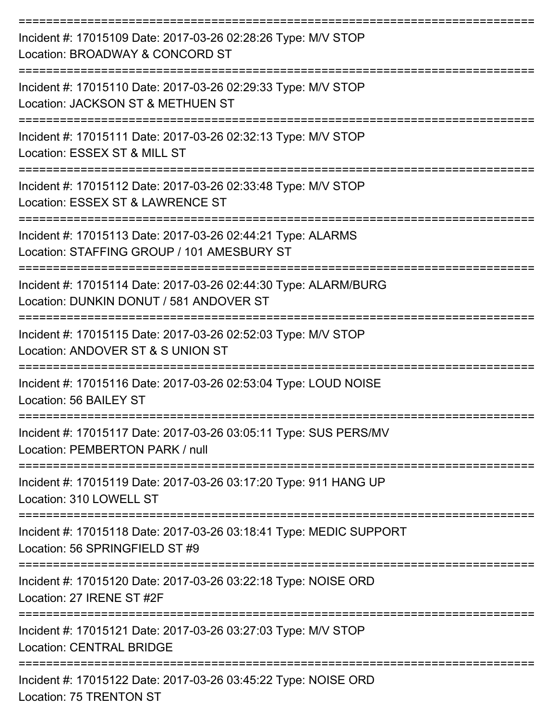| Incident #: 17015109 Date: 2017-03-26 02:28:26 Type: M/V STOP<br>Location: BROADWAY & CONCORD ST                         |
|--------------------------------------------------------------------------------------------------------------------------|
| Incident #: 17015110 Date: 2017-03-26 02:29:33 Type: M/V STOP<br>Location: JACKSON ST & METHUEN ST                       |
| Incident #: 17015111 Date: 2017-03-26 02:32:13 Type: M/V STOP<br>Location: ESSEX ST & MILL ST                            |
| Incident #: 17015112 Date: 2017-03-26 02:33:48 Type: M/V STOP<br>Location: ESSEX ST & LAWRENCE ST                        |
| Incident #: 17015113 Date: 2017-03-26 02:44:21 Type: ALARMS<br>Location: STAFFING GROUP / 101 AMESBURY ST                |
| Incident #: 17015114 Date: 2017-03-26 02:44:30 Type: ALARM/BURG<br>Location: DUNKIN DONUT / 581 ANDOVER ST               |
| ------------------<br>Incident #: 17015115 Date: 2017-03-26 02:52:03 Type: M/V STOP<br>Location: ANDOVER ST & S UNION ST |
| Incident #: 17015116 Date: 2017-03-26 02:53:04 Type: LOUD NOISE<br>Location: 56 BAILEY ST                                |
| Incident #: 17015117 Date: 2017-03-26 03:05:11 Type: SUS PERS/MV<br>Location: PEMBERTON PARK / null                      |
| Incident #: 17015119 Date: 2017-03-26 03:17:20 Type: 911 HANG UP<br>Location: 310 LOWELL ST                              |
| Incident #: 17015118 Date: 2017-03-26 03:18:41 Type: MEDIC SUPPORT<br>Location: 56 SPRINGFIELD ST #9                     |
| Incident #: 17015120 Date: 2017-03-26 03:22:18 Type: NOISE ORD<br>Location: 27 IRENE ST #2F                              |
| Incident #: 17015121 Date: 2017-03-26 03:27:03 Type: M/V STOP<br><b>Location: CENTRAL BRIDGE</b>                         |
| Incident #: 17015122 Date: 2017-03-26 03:45:22 Type: NOISE ORD<br>Location: 75 TRENTON ST                                |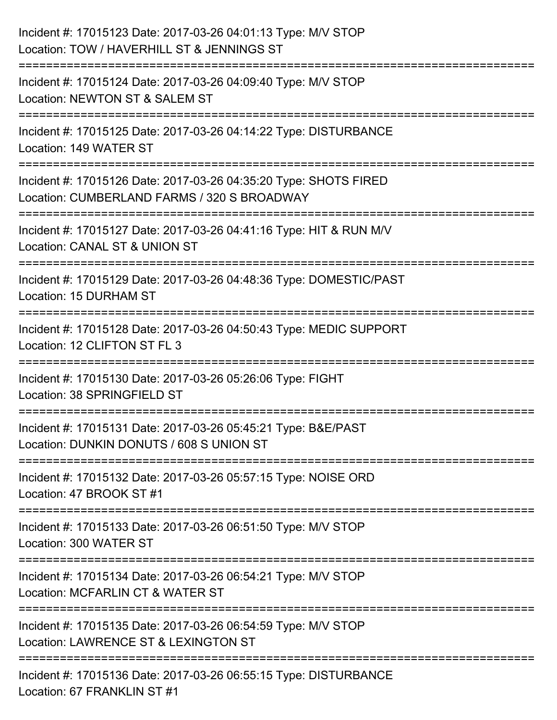| Incident #: 17015123 Date: 2017-03-26 04:01:13 Type: M/V STOP<br>Location: TOW / HAVERHILL ST & JENNINGS ST                                |
|--------------------------------------------------------------------------------------------------------------------------------------------|
| Incident #: 17015124 Date: 2017-03-26 04:09:40 Type: M/V STOP<br>Location: NEWTON ST & SALEM ST                                            |
| Incident #: 17015125 Date: 2017-03-26 04:14:22 Type: DISTURBANCE<br>Location: 149 WATER ST                                                 |
| Incident #: 17015126 Date: 2017-03-26 04:35:20 Type: SHOTS FIRED<br>Location: CUMBERLAND FARMS / 320 S BROADWAY                            |
| Incident #: 17015127 Date: 2017-03-26 04:41:16 Type: HIT & RUN M/V<br>Location: CANAL ST & UNION ST<br>===============<br>================ |
| Incident #: 17015129 Date: 2017-03-26 04:48:36 Type: DOMESTIC/PAST<br>Location: 15 DURHAM ST                                               |
| Incident #: 17015128 Date: 2017-03-26 04:50:43 Type: MEDIC SUPPORT<br>Location: 12 CLIFTON ST FL 3                                         |
| Incident #: 17015130 Date: 2017-03-26 05:26:06 Type: FIGHT<br>Location: 38 SPRINGFIELD ST                                                  |
| Incident #: 17015131 Date: 2017-03-26 05:45:21 Type: B&E/PAST<br>Location: DUNKIN DONUTS / 608 S UNION ST                                  |
| Incident #: 17015132 Date: 2017-03-26 05:57:15 Type: NOISE ORD<br>Location: 47 BROOK ST #1                                                 |
| Incident #: 17015133 Date: 2017-03-26 06:51:50 Type: M/V STOP<br>Location: 300 WATER ST                                                    |
| Incident #: 17015134 Date: 2017-03-26 06:54:21 Type: M/V STOP<br>Location: MCFARLIN CT & WATER ST                                          |
| Incident #: 17015135 Date: 2017-03-26 06:54:59 Type: M/V STOP<br>Location: LAWRENCE ST & LEXINGTON ST                                      |
| Incident #: 17015136 Date: 2017-03-26 06:55:15 Type: DISTURBANCE<br>Location: 67 FRANKLIN ST #1                                            |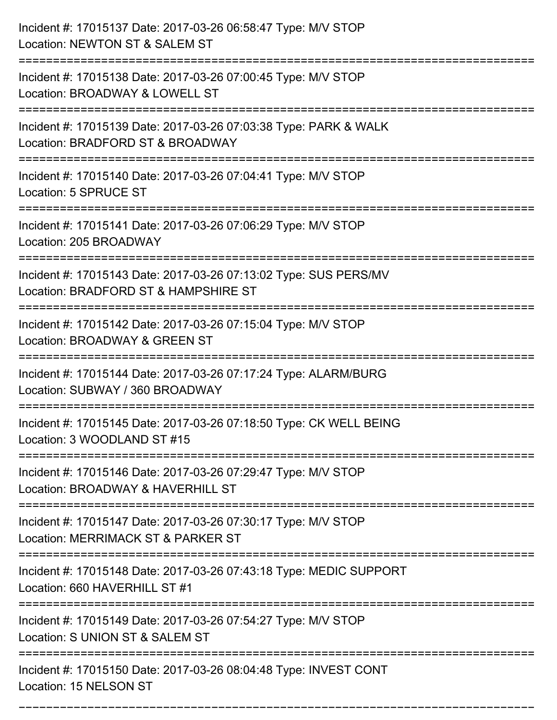| Incident #: 17015137 Date: 2017-03-26 06:58:47 Type: M/V STOP<br>Location: NEWTON ST & SALEM ST                 |
|-----------------------------------------------------------------------------------------------------------------|
| Incident #: 17015138 Date: 2017-03-26 07:00:45 Type: M/V STOP<br>Location: BROADWAY & LOWELL ST                 |
| Incident #: 17015139 Date: 2017-03-26 07:03:38 Type: PARK & WALK<br>Location: BRADFORD ST & BROADWAY            |
| Incident #: 17015140 Date: 2017-03-26 07:04:41 Type: M/V STOP<br>Location: 5 SPRUCE ST                          |
| Incident #: 17015141 Date: 2017-03-26 07:06:29 Type: M/V STOP<br>Location: 205 BROADWAY                         |
| Incident #: 17015143 Date: 2017-03-26 07:13:02 Type: SUS PERS/MV<br>Location: BRADFORD ST & HAMPSHIRE ST        |
| Incident #: 17015142 Date: 2017-03-26 07:15:04 Type: M/V STOP<br>Location: BROADWAY & GREEN ST<br>============= |
| Incident #: 17015144 Date: 2017-03-26 07:17:24 Type: ALARM/BURG<br>Location: SUBWAY / 360 BROADWAY              |
| Incident #: 17015145 Date: 2017-03-26 07:18:50 Type: CK WELL BEING<br>Location: 3 WOODLAND ST #15               |
| Incident #: 17015146 Date: 2017-03-26 07:29:47 Type: M/V STOP<br>Location: BROADWAY & HAVERHILL ST              |
| Incident #: 17015147 Date: 2017-03-26 07:30:17 Type: M/V STOP<br>Location: MERRIMACK ST & PARKER ST             |
| Incident #: 17015148 Date: 2017-03-26 07:43:18 Type: MEDIC SUPPORT<br>Location: 660 HAVERHILL ST #1             |
| Incident #: 17015149 Date: 2017-03-26 07:54:27 Type: M/V STOP<br>Location: S UNION ST & SALEM ST                |
| Incident #: 17015150 Date: 2017-03-26 08:04:48 Type: INVEST CONT<br>Location: 15 NELSON ST                      |

===========================================================================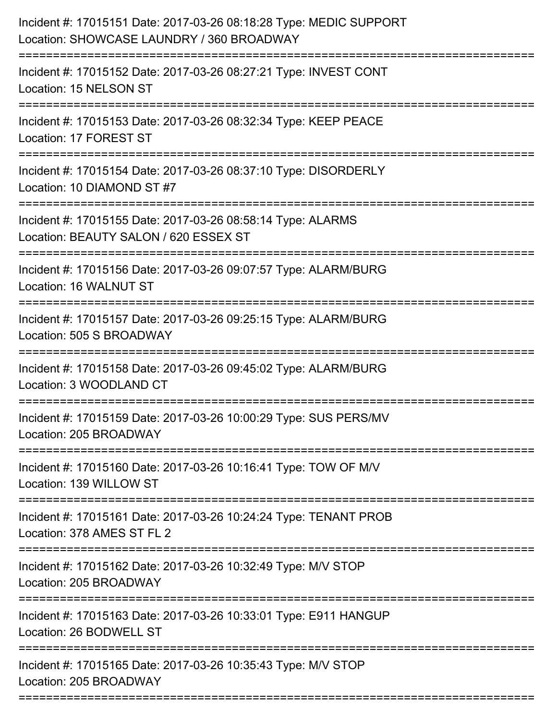| Incident #: 17015151 Date: 2017-03-26 08:18:28 Type: MEDIC SUPPORT<br>Location: SHOWCASE LAUNDRY / 360 BROADWAY |
|-----------------------------------------------------------------------------------------------------------------|
| Incident #: 17015152 Date: 2017-03-26 08:27:21 Type: INVEST CONT<br>Location: 15 NELSON ST                      |
| Incident #: 17015153 Date: 2017-03-26 08:32:34 Type: KEEP PEACE<br>Location: 17 FOREST ST                       |
| Incident #: 17015154 Date: 2017-03-26 08:37:10 Type: DISORDERLY<br>Location: 10 DIAMOND ST #7                   |
| Incident #: 17015155 Date: 2017-03-26 08:58:14 Type: ALARMS<br>Location: BEAUTY SALON / 620 ESSEX ST            |
| Incident #: 17015156 Date: 2017-03-26 09:07:57 Type: ALARM/BURG<br>Location: 16 WALNUT ST                       |
| Incident #: 17015157 Date: 2017-03-26 09:25:15 Type: ALARM/BURG<br>Location: 505 S BROADWAY                     |
| Incident #: 17015158 Date: 2017-03-26 09:45:02 Type: ALARM/BURG<br>Location: 3 WOODLAND CT                      |
| Incident #: 17015159 Date: 2017-03-26 10:00:29 Type: SUS PERS/MV<br>Location: 205 BROADWAY                      |
| Incident #: 17015160 Date: 2017-03-26 10:16:41 Type: TOW OF M/V<br>Location: 139 WILLOW ST                      |
| Incident #: 17015161 Date: 2017-03-26 10:24:24 Type: TENANT PROB<br>Location: 378 AMES ST FL 2                  |
| Incident #: 17015162 Date: 2017-03-26 10:32:49 Type: M/V STOP<br>Location: 205 BROADWAY                         |
| Incident #: 17015163 Date: 2017-03-26 10:33:01 Type: E911 HANGUP<br>Location: 26 BODWELL ST                     |
| Incident #: 17015165 Date: 2017-03-26 10:35:43 Type: M/V STOP<br>Location: 205 BROADWAY                         |
|                                                                                                                 |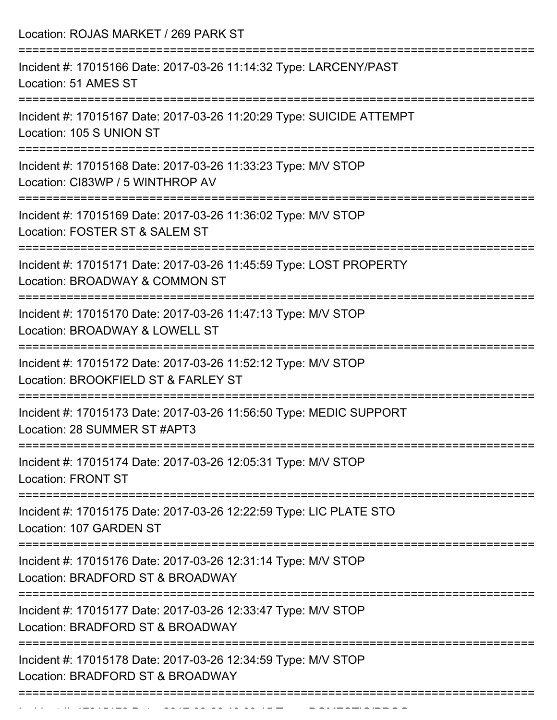| Location: ROJAS MARKET / 269 PARK ST                                                                                                       |
|--------------------------------------------------------------------------------------------------------------------------------------------|
| Incident #: 17015166 Date: 2017-03-26 11:14:32 Type: LARCENY/PAST<br>Location: 51 AMES ST                                                  |
| Incident #: 17015167 Date: 2017-03-26 11:20:29 Type: SUICIDE ATTEMPT<br>Location: 105 S UNION ST<br>:===================================== |
| Incident #: 17015168 Date: 2017-03-26 11:33:23 Type: M/V STOP<br>Location: CI83WP / 5 WINTHROP AV                                          |
| Incident #: 17015169 Date: 2017-03-26 11:36:02 Type: M/V STOP<br>Location: FOSTER ST & SALEM ST<br>:2222222222222222222                    |
| Incident #: 17015171 Date: 2017-03-26 11:45:59 Type: LOST PROPERTY<br>Location: BROADWAY & COMMON ST                                       |
| Incident #: 17015170 Date: 2017-03-26 11:47:13 Type: M/V STOP<br>Location: BROADWAY & LOWELL ST<br>---------------------                   |
| Incident #: 17015172 Date: 2017-03-26 11:52:12 Type: M/V STOP<br>Location: BROOKFIELD ST & FARLEY ST                                       |
| Incident #: 17015173 Date: 2017-03-26 11:56:50 Type: MEDIC SUPPORT<br>Location: 28 SUMMER ST #APT3                                         |
| Incident #: 17015174 Date: 2017-03-26 12:05:31 Type: M/V STOP<br><b>Location: FRONT ST</b>                                                 |
| Incident #: 17015175 Date: 2017-03-26 12:22:59 Type: LIC PLATE STO<br>Location: 107 GARDEN ST                                              |
| Incident #: 17015176 Date: 2017-03-26 12:31:14 Type: M/V STOP<br>Location: BRADFORD ST & BROADWAY                                          |
| Incident #: 17015177 Date: 2017-03-26 12:33:47 Type: M/V STOP<br>Location: BRADFORD ST & BROADWAY                                          |
| Incident #: 17015178 Date: 2017-03-26 12:34:59 Type: M/V STOP<br>Location: BRADFORD ST & BROADWAY                                          |

Incident #: 17015179 Date: 2017 03 26 13:03:15 Date: 2017 03 26 13:03:15 Date: 20<br>.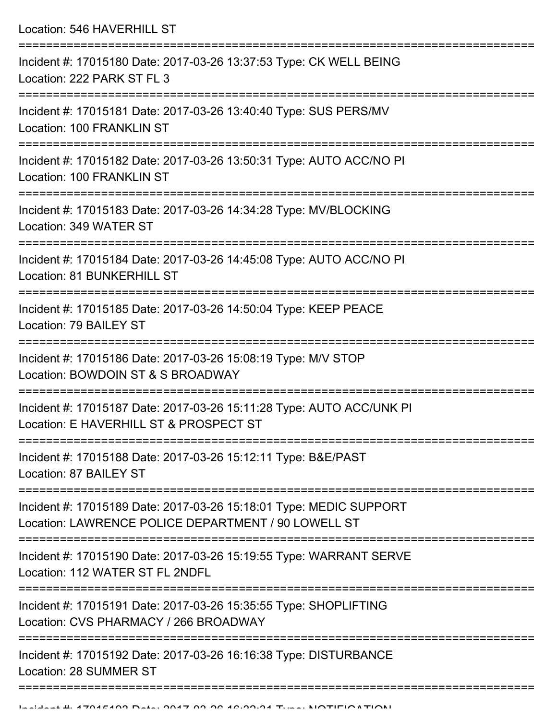| Location: 546 HAVERHILL ST                                                                                                |
|---------------------------------------------------------------------------------------------------------------------------|
| Incident #: 17015180 Date: 2017-03-26 13:37:53 Type: CK WELL BEING<br>Location: 222 PARK ST FL 3                          |
| Incident #: 17015181 Date: 2017-03-26 13:40:40 Type: SUS PERS/MV<br>Location: 100 FRANKLIN ST                             |
| Incident #: 17015182 Date: 2017-03-26 13:50:31 Type: AUTO ACC/NO PI<br><b>Location: 100 FRANKLIN ST</b>                   |
| Incident #: 17015183 Date: 2017-03-26 14:34:28 Type: MV/BLOCKING<br>Location: 349 WATER ST                                |
| Incident #: 17015184 Date: 2017-03-26 14:45:08 Type: AUTO ACC/NO PI<br>Location: 81 BUNKERHILL ST                         |
| Incident #: 17015185 Date: 2017-03-26 14:50:04 Type: KEEP PEACE<br>Location: 79 BAILEY ST                                 |
| Incident #: 17015186 Date: 2017-03-26 15:08:19 Type: M/V STOP<br>Location: BOWDOIN ST & S BROADWAY                        |
| Incident #: 17015187 Date: 2017-03-26 15:11:28 Type: AUTO ACC/UNK PI<br>Location: E HAVERHILL ST & PROSPECT ST            |
| Incident #: 17015188 Date: 2017-03-26 15:12:11 Type: B&E/PAST<br>Location: 87 BAILEY ST                                   |
| Incident #: 17015189 Date: 2017-03-26 15:18:01 Type: MEDIC SUPPORT<br>Location: LAWRENCE POLICE DEPARTMENT / 90 LOWELL ST |
| Incident #: 17015190 Date: 2017-03-26 15:19:55 Type: WARRANT SERVE<br>Location: 112 WATER ST FL 2NDFL                     |
| Incident #: 17015191 Date: 2017-03-26 15:35:55 Type: SHOPLIFTING<br>Location: CVS PHARMACY / 266 BROADWAY                 |
| Incident #: 17015192 Date: 2017-03-26 16:16:38 Type: DISTURBANCE<br>Location: 28 SUMMER ST<br>;================           |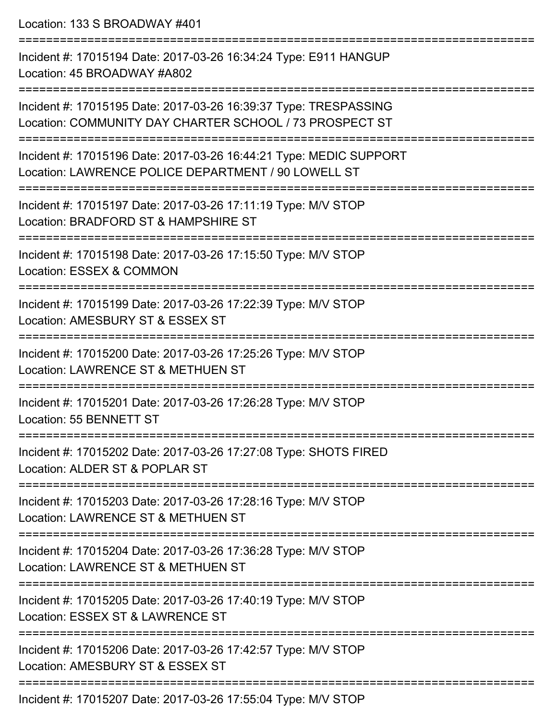Location: 133 S BROADWAY #401 =========================================================================== Incident #: 17015194 Date: 2017-03-26 16:34:24 Type: E911 HANGUP Location: 45 BROADWAY #A802 =========================================================================== Incident #: 17015195 Date: 2017-03-26 16:39:37 Type: TRESPASSING Location: COMMUNITY DAY CHARTER SCHOOL / 73 PROSPECT ST =========================================================================== Incident #: 17015196 Date: 2017-03-26 16:44:21 Type: MEDIC SUPPORT Location: LAWRENCE POLICE DEPARTMENT / 90 LOWELL ST =========================================================================== Incident #: 17015197 Date: 2017-03-26 17:11:19 Type: M/V STOP Location: BRADFORD ST & HAMPSHIRE ST =========================================================================== Incident #: 17015198 Date: 2017-03-26 17:15:50 Type: M/V STOP Location: ESSEX & COMMON =========================================================================== Incident #: 17015199 Date: 2017-03-26 17:22:39 Type: M/V STOP Location: AMESBURY ST & ESSEX ST =========================================================================== Incident #: 17015200 Date: 2017-03-26 17:25:26 Type: M/V STOP Location: LAWRENCE ST & METHUEN ST =========================================================================== Incident #: 17015201 Date: 2017-03-26 17:26:28 Type: M/V STOP Location: 55 BENNETT ST =========================================================================== Incident #: 17015202 Date: 2017-03-26 17:27:08 Type: SHOTS FIRED Location: ALDER ST & POPLAR ST =========================================================================== Incident #: 17015203 Date: 2017-03-26 17:28:16 Type: M/V STOP Location: LAWRENCE ST & METHUEN ST =========================================================================== Incident #: 17015204 Date: 2017-03-26 17:36:28 Type: M/V STOP Location: LAWRENCE ST & METHUEN ST =========================================================================== Incident #: 17015205 Date: 2017-03-26 17:40:19 Type: M/V STOP Location: ESSEX ST & LAWRENCE ST =========================================================================== Incident #: 17015206 Date: 2017-03-26 17:42:57 Type: M/V STOP Location: AMESBURY ST & ESSEX ST ===========================================================================

Incident #: 17015207 Date: 2017-03-26 17:55:04 Type: M/V STOP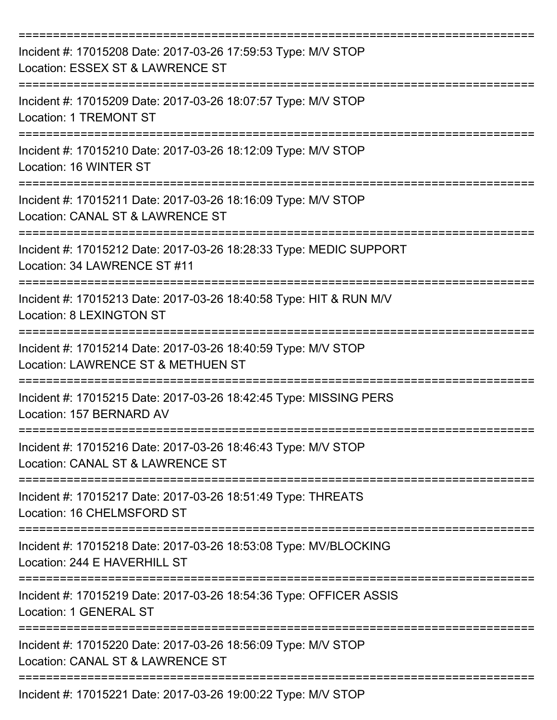| Incident #: 17015208 Date: 2017-03-26 17:59:53 Type: M/V STOP<br>Location: ESSEX ST & LAWRENCE ST     |
|-------------------------------------------------------------------------------------------------------|
| Incident #: 17015209 Date: 2017-03-26 18:07:57 Type: M/V STOP<br><b>Location: 1 TREMONT ST</b>        |
| Incident #: 17015210 Date: 2017-03-26 18:12:09 Type: M/V STOP<br>Location: 16 WINTER ST               |
| Incident #: 17015211 Date: 2017-03-26 18:16:09 Type: M/V STOP<br>Location: CANAL ST & LAWRENCE ST     |
| Incident #: 17015212 Date: 2017-03-26 18:28:33 Type: MEDIC SUPPORT<br>Location: 34 LAWRENCE ST #11    |
| Incident #: 17015213 Date: 2017-03-26 18:40:58 Type: HIT & RUN M/V<br><b>Location: 8 LEXINGTON ST</b> |
| Incident #: 17015214 Date: 2017-03-26 18:40:59 Type: M/V STOP<br>Location: LAWRENCE ST & METHUEN ST   |
| Incident #: 17015215 Date: 2017-03-26 18:42:45 Type: MISSING PERS<br>Location: 157 BERNARD AV         |
| Incident #: 17015216 Date: 2017-03-26 18:46:43 Type: M/V STOP<br>Location: CANAL ST & LAWRENCE ST     |
| Incident #: 17015217 Date: 2017-03-26 18:51:49 Type: THREATS<br>Location: 16 CHELMSFORD ST            |
| Incident #: 17015218 Date: 2017-03-26 18:53:08 Type: MV/BLOCKING<br>Location: 244 E HAVERHILL ST      |
| Incident #: 17015219 Date: 2017-03-26 18:54:36 Type: OFFICER ASSIS<br>Location: 1 GENERAL ST          |
| Incident #: 17015220 Date: 2017-03-26 18:56:09 Type: M/V STOP<br>Location: CANAL ST & LAWRENCE ST     |
| Incident #: 17015221 Date: 2017-03-26 19:00:22 Type: M/V STOP                                         |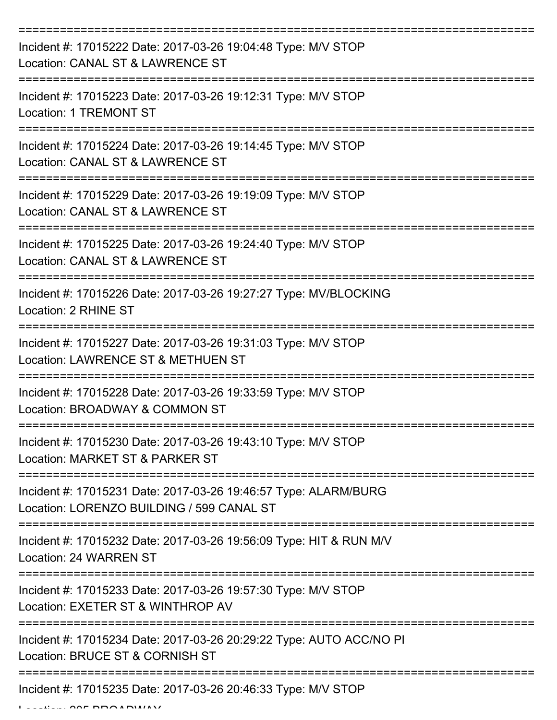| Incident #: 17015222 Date: 2017-03-26 19:04:48 Type: M/V STOP<br>Location: CANAL ST & LAWRENCE ST            |
|--------------------------------------------------------------------------------------------------------------|
| Incident #: 17015223 Date: 2017-03-26 19:12:31 Type: M/V STOP<br><b>Location: 1 TREMONT ST</b>               |
| Incident #: 17015224 Date: 2017-03-26 19:14:45 Type: M/V STOP<br>Location: CANAL ST & LAWRENCE ST            |
| Incident #: 17015229 Date: 2017-03-26 19:19:09 Type: M/V STOP<br>Location: CANAL ST & LAWRENCE ST            |
| Incident #: 17015225 Date: 2017-03-26 19:24:40 Type: M/V STOP<br>Location: CANAL ST & LAWRENCE ST            |
| Incident #: 17015226 Date: 2017-03-26 19:27:27 Type: MV/BLOCKING<br>Location: 2 RHINE ST                     |
| Incident #: 17015227 Date: 2017-03-26 19:31:03 Type: M/V STOP<br>Location: LAWRENCE ST & METHUEN ST          |
| Incident #: 17015228 Date: 2017-03-26 19:33:59 Type: M/V STOP<br>Location: BROADWAY & COMMON ST              |
| Incident #: 17015230 Date: 2017-03-26 19:43:10 Type: M/V STOP<br>Location: MARKET ST & PARKER ST             |
| Incident #: 17015231 Date: 2017-03-26 19:46:57 Type: ALARM/BURG<br>Location: LORENZO BUILDING / 599 CANAL ST |
| Incident #: 17015232 Date: 2017-03-26 19:56:09 Type: HIT & RUN M/V<br>Location: 24 WARREN ST                 |
| Incident #: 17015233 Date: 2017-03-26 19:57:30 Type: M/V STOP<br>Location: EXETER ST & WINTHROP AV           |
| Incident #: 17015234 Date: 2017-03-26 20:29:22 Type: AUTO ACC/NO PI<br>Location: BRUCE ST & CORNISH ST       |
| Incident #: 17015235 Date: 2017-03-26 20:46:33 Type: M/V STOP                                                |

 $L = LL$ ,  $L = \Omega L$  BBOADWAY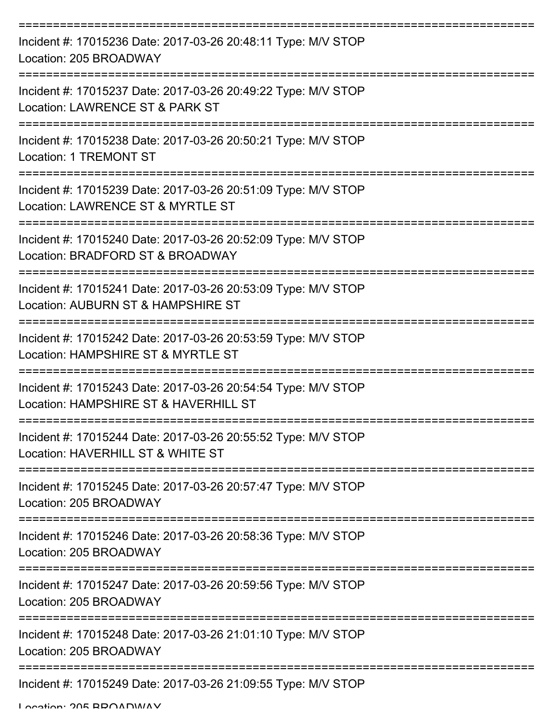| Incident #: 17015236 Date: 2017-03-26 20:48:11 Type: M/V STOP<br>Location: 205 BROADWAY                |
|--------------------------------------------------------------------------------------------------------|
| Incident #: 17015237 Date: 2017-03-26 20:49:22 Type: M/V STOP<br>Location: LAWRENCE ST & PARK ST       |
| Incident #: 17015238 Date: 2017-03-26 20:50:21 Type: M/V STOP<br><b>Location: 1 TREMONT ST</b>         |
| Incident #: 17015239 Date: 2017-03-26 20:51:09 Type: M/V STOP<br>Location: LAWRENCE ST & MYRTLE ST     |
| Incident #: 17015240 Date: 2017-03-26 20:52:09 Type: M/V STOP<br>Location: BRADFORD ST & BROADWAY      |
| Incident #: 17015241 Date: 2017-03-26 20:53:09 Type: M/V STOP<br>Location: AUBURN ST & HAMPSHIRE ST    |
| Incident #: 17015242 Date: 2017-03-26 20:53:59 Type: M/V STOP<br>Location: HAMPSHIRE ST & MYRTLE ST    |
| Incident #: 17015243 Date: 2017-03-26 20:54:54 Type: M/V STOP<br>Location: HAMPSHIRE ST & HAVERHILL ST |
| Incident #: 17015244 Date: 2017-03-26 20:55:52 Type: M/V STOP<br>Location: HAVERHILL ST & WHITE ST     |
| Incident #: 17015245 Date: 2017-03-26 20:57:47 Type: M/V STOP<br>Location: 205 BROADWAY                |
| Incident #: 17015246 Date: 2017-03-26 20:58:36 Type: M/V STOP<br>Location: 205 BROADWAY                |
| Incident #: 17015247 Date: 2017-03-26 20:59:56 Type: M/V STOP<br>Location: 205 BROADWAY                |
| Incident #: 17015248 Date: 2017-03-26 21:01:10 Type: M/V STOP<br>Location: 205 BROADWAY                |
| Incident #: 17015249 Date: 2017-03-26 21:09:55 Type: M/V STOP                                          |

Location: 205 BROADWAY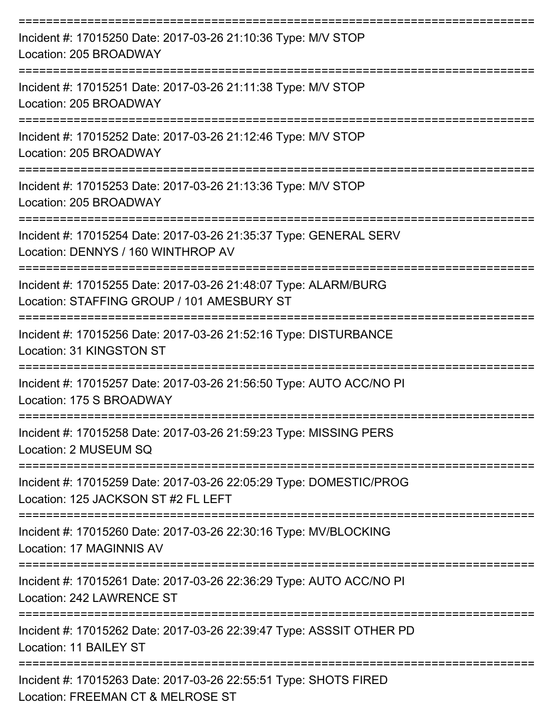| Incident #: 17015250 Date: 2017-03-26 21:10:36 Type: M/V STOP<br>Location: 205 BROADWAY                       |
|---------------------------------------------------------------------------------------------------------------|
| Incident #: 17015251 Date: 2017-03-26 21:11:38 Type: M/V STOP<br>Location: 205 BROADWAY                       |
| Incident #: 17015252 Date: 2017-03-26 21:12:46 Type: M/V STOP<br>Location: 205 BROADWAY                       |
| Incident #: 17015253 Date: 2017-03-26 21:13:36 Type: M/V STOP<br>Location: 205 BROADWAY                       |
| Incident #: 17015254 Date: 2017-03-26 21:35:37 Type: GENERAL SERV<br>Location: DENNYS / 160 WINTHROP AV       |
| Incident #: 17015255 Date: 2017-03-26 21:48:07 Type: ALARM/BURG<br>Location: STAFFING GROUP / 101 AMESBURY ST |
| Incident #: 17015256 Date: 2017-03-26 21:52:16 Type: DISTURBANCE<br>Location: 31 KINGSTON ST                  |
| Incident #: 17015257 Date: 2017-03-26 21:56:50 Type: AUTO ACC/NO PI<br>Location: 175 S BROADWAY               |
| Incident #: 17015258 Date: 2017-03-26 21:59:23 Type: MISSING PERS<br>Location: 2 MUSEUM SQ                    |
| Incident #: 17015259 Date: 2017-03-26 22:05:29 Type: DOMESTIC/PROG<br>Location: 125 JACKSON ST #2 FL LEFT     |
| Incident #: 17015260 Date: 2017-03-26 22:30:16 Type: MV/BLOCKING<br>Location: 17 MAGINNIS AV                  |
| Incident #: 17015261 Date: 2017-03-26 22:36:29 Type: AUTO ACC/NO PI<br>Location: 242 LAWRENCE ST              |
| Incident #: 17015262 Date: 2017-03-26 22:39:47 Type: ASSSIT OTHER PD<br>Location: 11 BAILEY ST                |
| Incident #: 17015263 Date: 2017-03-26 22:55:51 Type: SHOTS FIRED<br>Location: FREEMAN CT & MELROSE ST         |